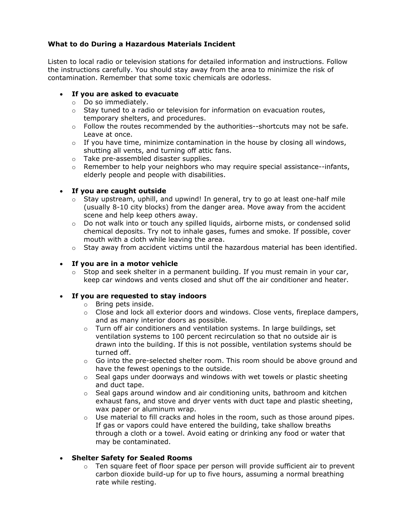# **What to do During a Hazardous Materials Incident**

Listen to local radio or television stations for detailed information and instructions. Follow the instructions carefully. You should stay away from the area to minimize the risk of contamination. Remember that some toxic chemicals are odorless.

## • **If you are asked to evacuate**

- o Do so immediately.
- o Stay tuned to a radio or television for information on evacuation routes, temporary shelters, and procedures.
- o Follow the routes recommended by the authorities--shortcuts may not be safe. Leave at once.
- $\circ$  If you have time, minimize contamination in the house by closing all windows, shutting all vents, and turning off attic fans.
- o Take pre-assembled disaster supplies.
- $\circ$  Remember to help your neighbors who may require special assistance--infants, elderly people and people with disabilities.

## • **If you are caught outside**

- $\circ$  Stay upstream, uphill, and upwind! In general, try to go at least one-half mile (usually 8-10 city blocks) from the danger area. Move away from the accident scene and help keep others away.
- $\circ$  Do not walk into or touch any spilled liquids, airborne mists, or condensed solid chemical deposits. Try not to inhale gases, fumes and smoke. If possible, cover mouth with a cloth while leaving the area.
- $\circ$  Stay away from accident victims until the hazardous material has been identified.

## • **If you are in a motor vehicle**

 $\circ$  Stop and seek shelter in a permanent building. If you must remain in your car, keep car windows and vents closed and shut off the air conditioner and heater.

## • **If you are requested to stay indoors**

- o Bring pets inside.
- $\circ$  Close and lock all exterior doors and windows. Close vents, fireplace dampers, and as many interior doors as possible.
- $\circ$  Turn off air conditioners and ventilation systems. In large buildings, set ventilation systems to 100 percent recirculation so that no outside air is drawn into the building. If this is not possible, ventilation systems should be turned off.
- $\circ$  Go into the pre-selected shelter room. This room should be above ground and have the fewest openings to the outside.
- o Seal gaps under doorways and windows with wet towels or plastic sheeting and duct tape.
- $\circ$  Seal gaps around window and air conditioning units, bathroom and kitchen exhaust fans, and stove and dryer vents with duct tape and plastic sheeting, wax paper or aluminum wrap.
- $\circ$  Use material to fill cracks and holes in the room, such as those around pipes. If gas or vapors could have entered the building, take shallow breaths through a cloth or a towel. Avoid eating or drinking any food or water that may be contaminated.

## • **Shelter Safety for Sealed Rooms**

 $\circ$  Ten square feet of floor space per person will provide sufficient air to prevent carbon dioxide build-up for up to five hours, assuming a normal breathing rate while resting.